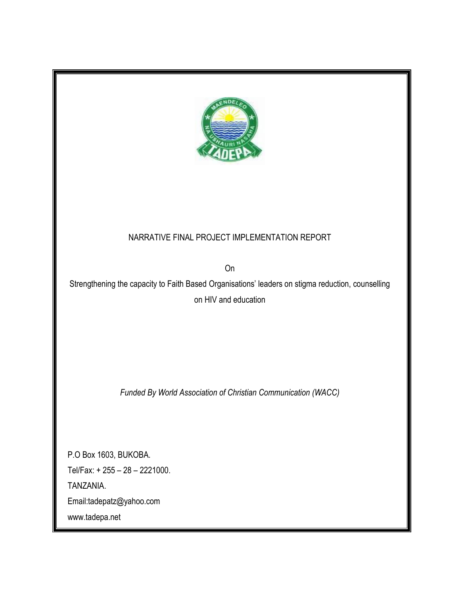

# NARRATIVE FINAL PROJECT IMPLEMENTATION REPORT

On

Strengthening the capacity to Faith Based Organisations' leaders on stigma reduction, counselling on HIV and education

*Funded By World Association of Christian Communication (WACC)*

P.O Box 1603, BUKOBA. Tel/Fax: + 255 – 28 – 2221000. TANZANIA. Email:tadepatz@yahoo.com www.tadepa.net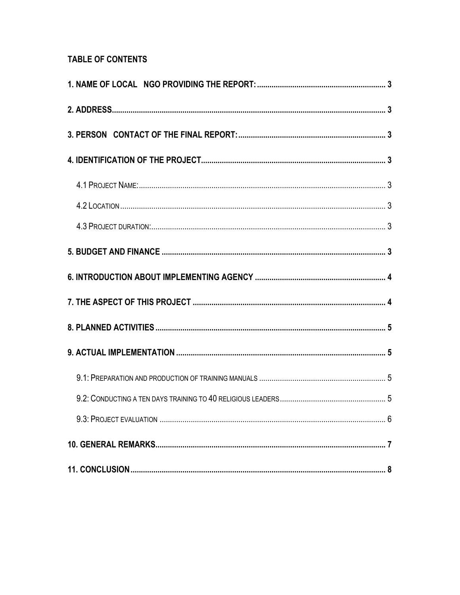# **TABLE OF CONTENTS**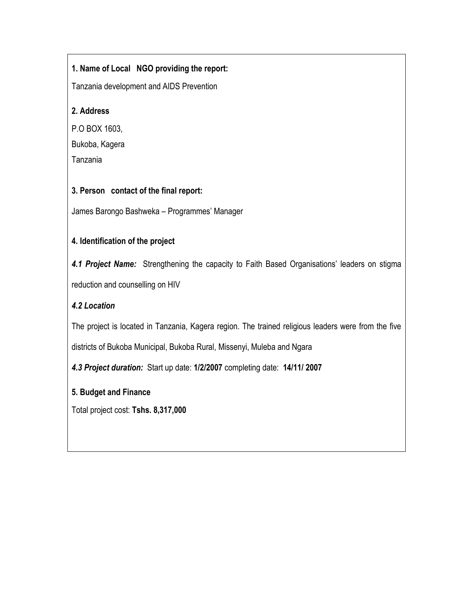# <span id="page-2-0"></span>**1. Name of Local NGO providing the report:**

Tanzania development and AIDS Prevention

#### <span id="page-2-1"></span>**2. Address**

P.O BOX 1603, Bukoba, Kagera Tanzania

#### <span id="page-2-2"></span>**3. Person contact of the final report:**

James Barongo Bashweka – Programmes' Manager

# <span id="page-2-3"></span>**4. Identification of the project**

<span id="page-2-4"></span>*4.1 Project Name:* Strengthening the capacity to Faith Based Organisations' leaders on stigma reduction and counselling on HIV

# <span id="page-2-5"></span>*4.2 Location*

The project is located in Tanzania, Kagera region. The trained religious leaders were from the five

districts of Bukoba Municipal, Bukoba Rural, Missenyi, Muleba and Ngara

<span id="page-2-6"></span>*4.3 Project duration:* Start up date: **1/2/2007** completing date: **14/11/ 2007**

#### <span id="page-2-7"></span>**5. Budget and Finance**

Total project cost: **Tshs. 8,317,000**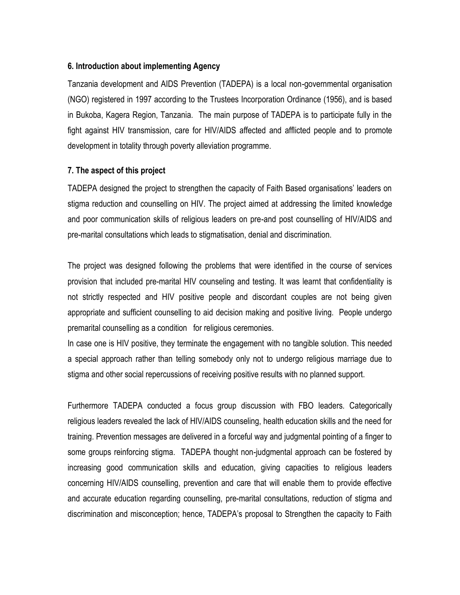#### <span id="page-3-0"></span>**6. Introduction about implementing Agency**

Tanzania development and AIDS Prevention (TADEPA) is a local non-governmental organisation (NGO) registered in 1997 according to the Trustees Incorporation Ordinance (1956), and is based in Bukoba, Kagera Region, Tanzania. The main purpose of TADEPA is to participate fully in the fight against HIV transmission, care for HIV/AIDS affected and afflicted people and to promote development in totality through poverty alleviation programme.

#### <span id="page-3-1"></span>**7. The aspect of this project**

TADEPA designed the project to strengthen the capacity of Faith Based organisations' leaders on stigma reduction and counselling on HIV. The project aimed at addressing the limited knowledge and poor communication skills of religious leaders on pre-and post counselling of HIV/AIDS and pre-marital consultations which leads to stigmatisation, denial and discrimination.

The project was designed following the problems that were identified in the course of services provision that included pre-marital HIV counseling and testing. It was learnt that confidentiality is not strictly respected and HIV positive people and discordant couples are not being given appropriate and sufficient counselling to aid decision making and positive living. People undergo premarital counselling as a condition for religious ceremonies.

In case one is HIV positive, they terminate the engagement with no tangible solution. This needed a special approach rather than telling somebody only not to undergo religious marriage due to stigma and other social repercussions of receiving positive results with no planned support.

Furthermore TADEPA conducted a focus group discussion with FBO leaders. Categorically religious leaders revealed the lack of HIV/AIDS counseling, health education skills and the need for training. Prevention messages are delivered in a forceful way and judgmental pointing of a finger to some groups reinforcing stigma. TADEPA thought non-judgmental approach can be fostered by increasing good communication skills and education, giving capacities to religious leaders concerning HIV/AIDS counselling, prevention and care that will enable them to provide effective and accurate education regarding counselling, pre-marital consultations, reduction of stigma and discrimination and misconception; hence, TADEPA's proposal to Strengthen the capacity to Faith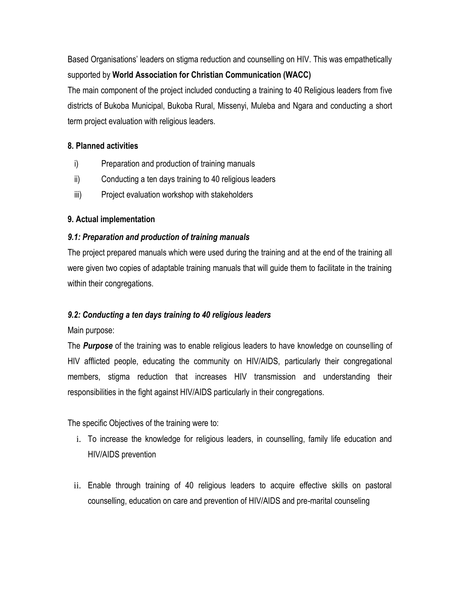Based Organisations' leaders on stigma reduction and counselling on HIV. This was empathetically supported by **World Association for Christian Communication (WACC)**

The main component of the project included conducting a training to 40 Religious leaders from five districts of Bukoba Municipal, Bukoba Rural, Missenyi, Muleba and Ngara and conducting a short term project evaluation with religious leaders.

# <span id="page-4-0"></span>**8. Planned activities**

- i) Preparation and production of training manuals
- ii) Conducting a ten days training to 40 religious leaders
- iii) Project evaluation workshop with stakeholders

# <span id="page-4-1"></span>**9. Actual implementation**

# <span id="page-4-2"></span>*9.1: Preparation and production of training manuals*

The project prepared manuals which were used during the training and at the end of the training all were given two copies of adaptable training manuals that will guide them to facilitate in the training within their congregations.

# <span id="page-4-3"></span>*9.2: Conducting a ten days training to 40 religious leaders*

Main purpose:

The *Purpose* of the training was to enable religious leaders to have knowledge on counselling of HIV afflicted people, educating the community on HIV/AIDS, particularly their congregational members, stigma reduction that increases HIV transmission and understanding their responsibilities in the fight against HIV/AIDS particularly in their congregations.

The specific Objectives of the training were to:

- i. To increase the knowledge for religious leaders, in counselling, family life education and HIV/AIDS prevention
- ii. Enable through training of 40 religious leaders to acquire effective skills on pastoral counselling, education on care and prevention of HIV/AIDS and pre-marital counseling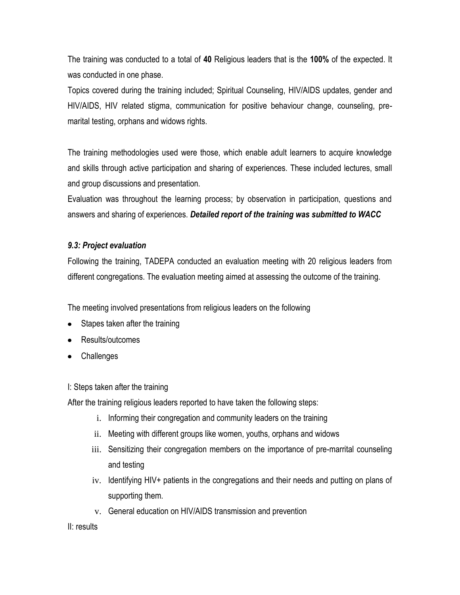The training was conducted to a total of **40** Religious leaders that is the **100%** of the expected. It was conducted in one phase.

Topics covered during the training included; Spiritual Counseling, HIV/AIDS updates, gender and HIV/AIDS, HIV related stigma, communication for positive behaviour change, counseling, premarital testing, orphans and widows rights.

The training methodologies used were those, which enable adult learners to acquire knowledge and skills through active participation and sharing of experiences. These included lectures, small and group discussions and presentation.

Evaluation was throughout the learning process; by observation in participation, questions and answers and sharing of experiences. *Detailed report of the training was submitted to WACC*

#### <span id="page-5-0"></span>*9.3: Project evaluation*

Following the training, TADEPA conducted an evaluation meeting with 20 religious leaders from different congregations. The evaluation meeting aimed at assessing the outcome of the training.

The meeting involved presentations from religious leaders on the following

- Stapes taken after the training
- Results/outcomes
- Challenges

I: Steps taken after the training

After the training religious leaders reported to have taken the following steps:

- i. Informing their congregation and community leaders on the training
- ii. Meeting with different groups like women, youths, orphans and widows
- iii. Sensitizing their congregation members on the importance of pre-marrital counseling and testing
- iv. Identifying HIV+ patients in the congregations and their needs and putting on plans of supporting them.
- v. General education on HIV/AIDS transmission and prevention

II: results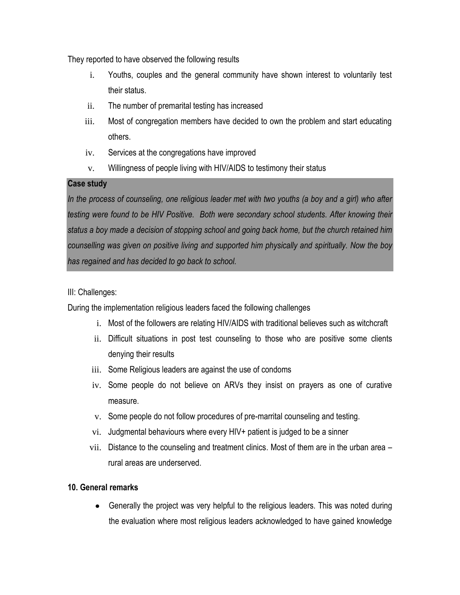They reported to have observed the following results

- i. Youths, couples and the general community have shown interest to voluntarily test their status.
- ii. The number of premarital testing has increased
- iii. Most of congregation members have decided to own the problem and start educating others.
- iv. Services at the congregations have improved
- v. Willingness of people living with HIV/AIDS to testimony their status

# **Case study**

*In the process of counseling, one religious leader met with two youths (a boy and a girl) who after testing were found to be HIV Positive. Both were secondary school students. After knowing their status a boy made a decision of stopping school and going back home, but the church retained him counselling was given on positive living and supported him physically and spiritually. Now the boy has regained and has decided to go back to school.* 

# III: Challenges:

During the implementation religious leaders faced the following challenges

- i. Most of the followers are relating HIV/AIDS with traditional believes such as witchcraft
- ii. Difficult situations in post test counseling to those who are positive some clients denying their results
- iii. Some Religious leaders are against the use of condoms
- iv. Some people do not believe on ARVs they insist on prayers as one of curative measure.
- v. Some people do not follow procedures of pre-marrital counseling and testing.
- vi. Judgmental behaviours where every HIV+ patient is judged to be a sinner
- vii. Distance to the counseling and treatment clinics. Most of them are in the urban area rural areas are underserved.

#### <span id="page-6-0"></span>**10. General remarks**

Generally the project was very helpful to the religious leaders. This was noted during the evaluation where most religious leaders acknowledged to have gained knowledge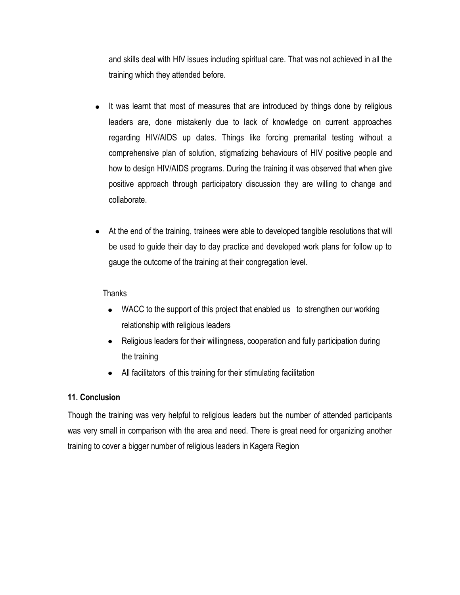and skills deal with HIV issues including spiritual care. That was not achieved in all the training which they attended before.

- It was learnt that most of measures that are introduced by things done by religious  $\bullet$ leaders are, done mistakenly due to lack of knowledge on current approaches regarding HIV/AIDS up dates. Things like forcing premarital testing without a comprehensive plan of solution, stigmatizing behaviours of HIV positive people and how to design HIV/AIDS programs. During the training it was observed that when give positive approach through participatory discussion they are willing to change and collaborate.
- At the end of the training, trainees were able to developed tangible resolutions that will be used to guide their day to day practice and developed work plans for follow up to gauge the outcome of the training at their congregation level.

#### **Thanks**

- WACC to the support of this project that enabled us to strengthen our working relationship with religious leaders
- Religious leaders for their willingness, cooperation and fully participation during the training
- All facilitators of this training for their stimulating facilitation

#### <span id="page-7-0"></span>**11. Conclusion**

Though the training was very helpful to religious leaders but the number of attended participants was very small in comparison with the area and need. There is great need for organizing another training to cover a bigger number of religious leaders in Kagera Region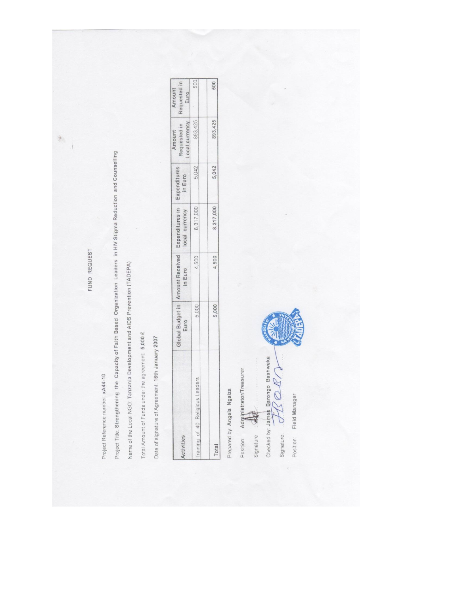FUND REQUEST

191 À

Project Reference number: xA44-10

Project Title: Strengthening the Capacity of Falth Based Organization Leaders in HIV Stigma Reduction and Counselling

Name of the Local NGO: Tanzania Development and AIDS Prevention (TADEPA)

Total Amount of Funds under the agreement: 5,000 £

Date of signature of Agreement: 16th January 2007

|                                  | Euro | Global Budget in   Amount Received   Expenditures in<br>in Euro | local currency | Expenditures<br>in Euro | Requested in<br>ocal currency<br>mount | Requested in<br>Amount<br>Euro |
|----------------------------------|------|-----------------------------------------------------------------|----------------|-------------------------|----------------------------------------|--------------------------------|
| Training of 40 Religious Leaders | ,000 | 4,500                                                           | 8,317,000      | 5,042                   | 893,425                                | 500                            |
|                                  |      |                                                                 |                |                         |                                        |                                |
| Total                            | 000  | 4,500                                                           | 8,317,000      | 5,042                   | 893,425                                | 500                            |

Prepared by: Angela Ngaiza

Administrator/Treasurer Position:

Signature

Checked by James Barongo Bashweka<br>Signalure:  $\overline{\bigoplus\{Z\}\bigoplus\{Z\}}$ 

Field Manager Position: